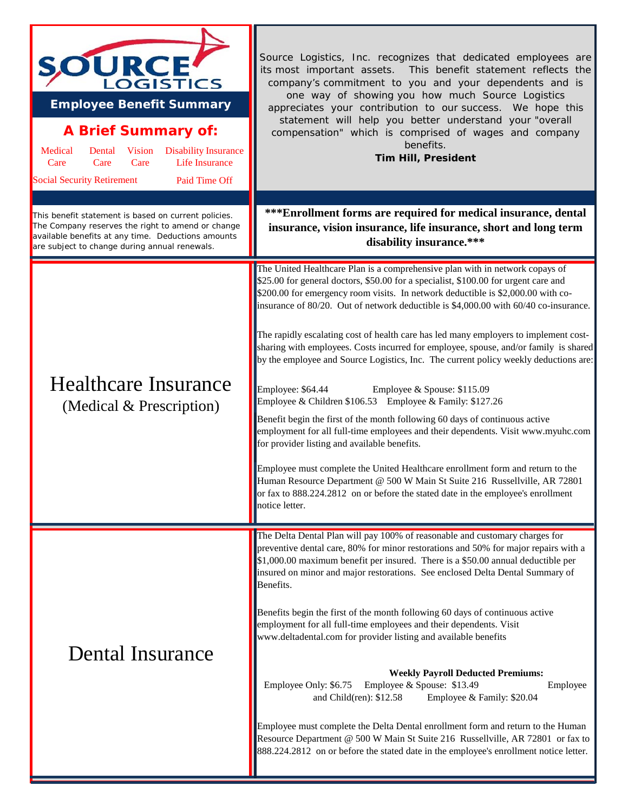| <b>OURCE</b><br>LOGISTICS<br><b>Employee Benefit Summary</b><br><b>A Brief Summary of:</b><br>Medical<br>Vision<br><b>Disability Insurance</b><br>Dental<br><b>Life Insurance</b><br>Care<br>Care<br>Care<br><b>Social Security Retirement</b><br>Paid Time Off<br>This benefit statement is based on current policies.<br>The Company reserves the right to amend or change<br>available benefits at any time. Deductions amounts<br>are subject to change during annual renewals. | Source Logistics, Inc. recognizes that dedicated employees are<br>its most important assets. This benefit statement reflects the<br>company's commitment to you and your dependents and is<br>one way of showing you how much Source Logistics<br>appreciates your contribution to our success. We hope this<br>statement will help you better understand your "overall<br>compensation" which is comprised of wages and company<br>benefits.<br><b>Tim Hill, President</b><br>***Enrollment forms are required for medical insurance, dental<br>insurance, vision insurance, life insurance, short and long term<br>disability insurance.*** |
|-------------------------------------------------------------------------------------------------------------------------------------------------------------------------------------------------------------------------------------------------------------------------------------------------------------------------------------------------------------------------------------------------------------------------------------------------------------------------------------|-----------------------------------------------------------------------------------------------------------------------------------------------------------------------------------------------------------------------------------------------------------------------------------------------------------------------------------------------------------------------------------------------------------------------------------------------------------------------------------------------------------------------------------------------------------------------------------------------------------------------------------------------|
|                                                                                                                                                                                                                                                                                                                                                                                                                                                                                     | The United Healthcare Plan is a comprehensive plan with in network copays of                                                                                                                                                                                                                                                                                                                                                                                                                                                                                                                                                                  |
| <b>Healthcare Insurance</b><br>(Medical & Prescription)                                                                                                                                                                                                                                                                                                                                                                                                                             | \$25.00 for general doctors, \$50.00 for a specialist, \$100.00 for urgent care and<br>\$200.00 for emergency room visits. In network deductible is \$2,000.00 with co-<br>insurance of 80/20. Out of network deductible is \$4,000.00 with 60/40 co-insurance.                                                                                                                                                                                                                                                                                                                                                                               |
|                                                                                                                                                                                                                                                                                                                                                                                                                                                                                     | The rapidly escalating cost of health care has led many employers to implement cost-<br>sharing with employees. Costs incurred for employee, spouse, and/or family is shared<br>by the employee and Source Logistics, Inc. The current policy weekly deductions are:                                                                                                                                                                                                                                                                                                                                                                          |
|                                                                                                                                                                                                                                                                                                                                                                                                                                                                                     | Employee: \$64.44<br>Employee & Spouse: \$115.09<br>Employee & Children \$106.53 Employee & Family: \$127.26                                                                                                                                                                                                                                                                                                                                                                                                                                                                                                                                  |
|                                                                                                                                                                                                                                                                                                                                                                                                                                                                                     | Benefit begin the first of the month following 60 days of continuous active<br>employment for all full-time employees and their dependents. Visit www.myuhc.com<br>for provider listing and available benefits.                                                                                                                                                                                                                                                                                                                                                                                                                               |
|                                                                                                                                                                                                                                                                                                                                                                                                                                                                                     | Employee must complete the United Healthcare enrollment form and return to the<br>Human Resource Department @ 500 W Main St Suite 216 Russellville, AR 72801<br>or fax to 888.224.2812 on or before the stated date in the employee's enrollment<br>notice letter.                                                                                                                                                                                                                                                                                                                                                                            |
|                                                                                                                                                                                                                                                                                                                                                                                                                                                                                     | The Delta Dental Plan will pay 100% of reasonable and customary charges for                                                                                                                                                                                                                                                                                                                                                                                                                                                                                                                                                                   |
| Dental Insurance                                                                                                                                                                                                                                                                                                                                                                                                                                                                    | preventive dental care, 80% for minor restorations and 50% for major repairs with a<br>\$1,000.00 maximum benefit per insured. There is a \$50.00 annual deductible per<br>insured on minor and major restorations. See enclosed Delta Dental Summary of<br>Benefits.                                                                                                                                                                                                                                                                                                                                                                         |
|                                                                                                                                                                                                                                                                                                                                                                                                                                                                                     | Benefits begin the first of the month following 60 days of continuous active<br>employment for all full-time employees and their dependents. Visit<br>www.deltadental.com for provider listing and available benefits                                                                                                                                                                                                                                                                                                                                                                                                                         |
|                                                                                                                                                                                                                                                                                                                                                                                                                                                                                     | <b>Weekly Payroll Deducted Premiums:</b><br>Employee Only: \$6.75<br>Employee & Spouse: \$13.49<br>Employee<br>and Child(ren): \$12.58<br>Employee & Family: \$20.04                                                                                                                                                                                                                                                                                                                                                                                                                                                                          |
|                                                                                                                                                                                                                                                                                                                                                                                                                                                                                     | Employee must complete the Delta Dental enrollment form and return to the Human<br>Resource Department @ 500 W Main St Suite 216 Russellville, AR 72801 or fax to<br>888.224.2812 on or before the stated date in the employee's enrollment notice letter.                                                                                                                                                                                                                                                                                                                                                                                    |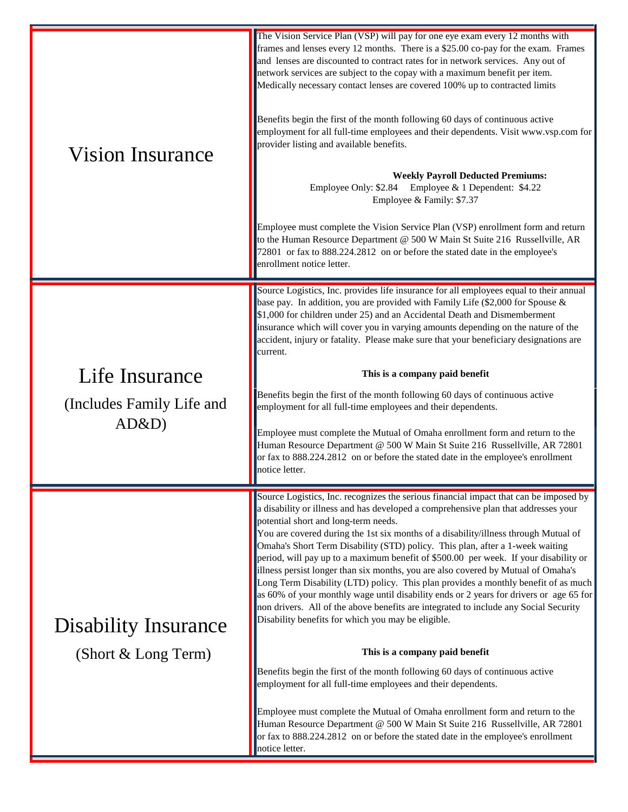| <b>Vision Insurance</b>                              | The Vision Service Plan (VSP) will pay for one eye exam every 12 months with<br>frames and lenses every 12 months. There is a \$25.00 co-pay for the exam. Frames<br>and lenses are discounted to contract rates for in network services. Any out of<br>network services are subject to the copay with a maximum benefit per item.<br>Medically necessary contact lenses are covered 100% up to contracted limits<br>Benefits begin the first of the month following 60 days of continuous active<br>employment for all full-time employees and their dependents. Visit www.vsp.com for<br>provider listing and available benefits.<br><b>Weekly Payroll Deducted Premiums:</b><br>Employee Only: \$2.84 Employee & 1 Dependent: \$4.22<br>Employee & Family: \$7.37<br>Employee must complete the Vision Service Plan (VSP) enrollment form and return<br>to the Human Resource Department @ 500 W Main St Suite 216 Russellville, AR<br>72801 or fax to 888.224.2812 on or before the stated date in the employee's<br>enrollment notice letter.                                                                                                                                                                                                                                                                                                           |
|------------------------------------------------------|--------------------------------------------------------------------------------------------------------------------------------------------------------------------------------------------------------------------------------------------------------------------------------------------------------------------------------------------------------------------------------------------------------------------------------------------------------------------------------------------------------------------------------------------------------------------------------------------------------------------------------------------------------------------------------------------------------------------------------------------------------------------------------------------------------------------------------------------------------------------------------------------------------------------------------------------------------------------------------------------------------------------------------------------------------------------------------------------------------------------------------------------------------------------------------------------------------------------------------------------------------------------------------------------------------------------------------------------------------------|
| Life Insurance<br>(Includes Family Life and<br>AD&D) | Source Logistics, Inc. provides life insurance for all employees equal to their annual<br>base pay. In addition, you are provided with Family Life (\$2,000 for Spouse &<br>\$1,000 for children under 25) and an Accidental Death and Dismemberment<br>insurance which will cover you in varying amounts depending on the nature of the<br>accident, injury or fatality. Please make sure that your beneficiary designations are<br>current.<br>This is a company paid benefit<br>Benefits begin the first of the month following 60 days of continuous active<br>employment for all full-time employees and their dependents.<br>Employee must complete the Mutual of Omaha enrollment form and return to the<br>Human Resource Department @ 500 W Main St Suite 216 Russellville, AR 72801<br>or fax to 888.224.2812 on or before the stated date in the employee's enrollment<br>notice letter.                                                                                                                                                                                                                                                                                                                                                                                                                                                          |
| <b>Disability Insurance</b><br>(Short & Long Term)   | Source Logistics, Inc. recognizes the serious financial impact that can be imposed by<br>a disability or illness and has developed a comprehensive plan that addresses your<br>potential short and long-term needs.<br>You are covered during the 1st six months of a disability/illness through Mutual of<br>Omaha's Short Term Disability (STD) policy. This plan, after a 1-week waiting<br>period, will pay up to a maximum benefit of \$500.00 per week. If your disability or<br>illness persist longer than six months, you are also covered by Mutual of Omaha's<br>Long Term Disability (LTD) policy. This plan provides a monthly benefit of as much<br>as 60% of your monthly wage until disability ends or 2 years for drivers or age 65 for<br>non drivers. All of the above benefits are integrated to include any Social Security<br>Disability benefits for which you may be eligible.<br>This is a company paid benefit<br>Benefits begin the first of the month following 60 days of continuous active<br>employment for all full-time employees and their dependents.<br>Employee must complete the Mutual of Omaha enrollment form and return to the<br>Human Resource Department @ 500 W Main St Suite 216 Russellville, AR 72801<br>or fax to 888.224.2812 on or before the stated date in the employee's enrollment<br>notice letter. |